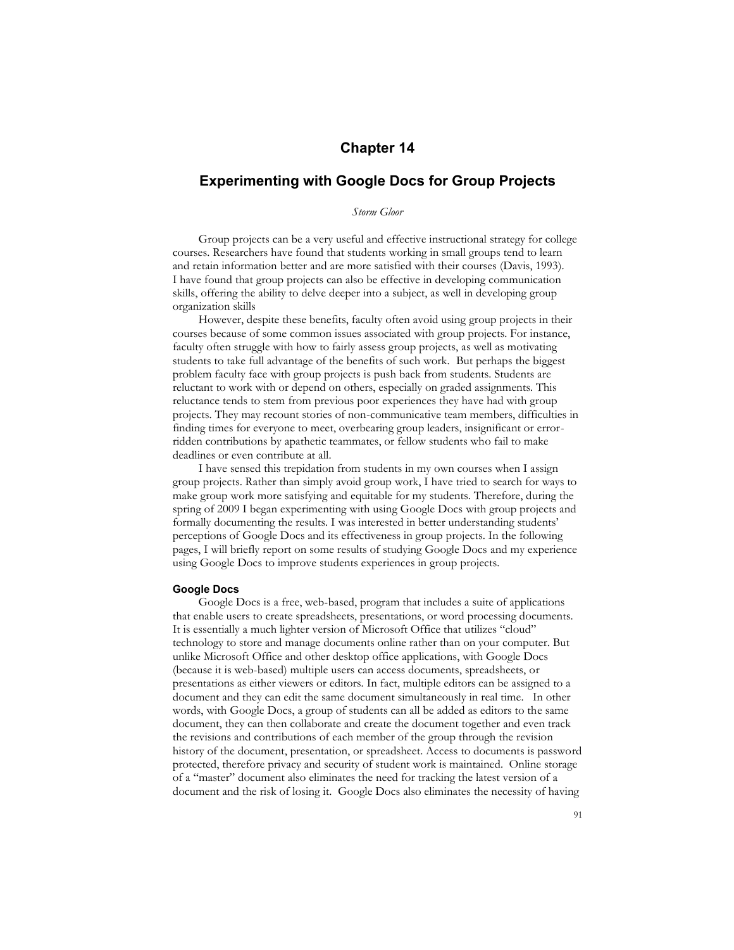# **Chapter 14**

# **Experimenting with Google Docs for Group Projects**

*Storm Gloor*

Group projects can be a very useful and effective instructional strategy for college courses. Researchers have found that students working in small groups tend to learn and retain information better and are more satisfied with their courses (Davis, 1993). I have found that group projects can also be effective in developing communication skills, offering the ability to delve deeper into a subject, as well in developing group organization skills

However, despite these benefits, faculty often avoid using group projects in their courses because of some common issues associated with group projects. For instance, faculty often struggle with how to fairly assess group projects, as well as motivating students to take full advantage of the benefits of such work. But perhaps the biggest problem faculty face with group projects is push back from students. Students are reluctant to work with or depend on others, especially on graded assignments. This reluctance tends to stem from previous poor experiences they have had with group projects. They may recount stories of non-communicative team members, difficulties in finding times for everyone to meet, overbearing group leaders, insignificant or errorridden contributions by apathetic teammates, or fellow students who fail to make deadlines or even contribute at all.

I have sensed this trepidation from students in my own courses when I assign group projects. Rather than simply avoid group work, I have tried to search for ways to make group work more satisfying and equitable for my students. Therefore, during the spring of 2009 I began experimenting with using Google Docs with group projects and formally documenting the results. I was interested in better understanding students' perceptions of Google Docs and its effectiveness in group projects. In the following pages, I will briefly report on some results of studying Google Docs and my experience using Google Docs to improve students experiences in group projects.

## **Google Docs**

Google Docs is a free, web-based, program that includes a suite of applications that enable users to create spreadsheets, presentations, or word processing documents. It is essentially a much lighter version of Microsoft Office that utilizes "cloud" technology to store and manage documents online rather than on your computer. But unlike Microsoft Office and other desktop office applications, with Google Docs (because it is web-based) multiple users can access documents, spreadsheets, or presentations as either viewers or editors. In fact, multiple editors can be assigned to a document and they can edit the same document simultaneously in real time. In other words, with Google Docs, a group of students can all be added as editors to the same document, they can then collaborate and create the document together and even track the revisions and contributions of each member of the group through the revision history of the document, presentation, or spreadsheet. Access to documents is password protected, therefore privacy and security of student work is maintained. Online storage of a "master" document also eliminates the need for tracking the latest version of a document and the risk of losing it. Google Docs also eliminates the necessity of having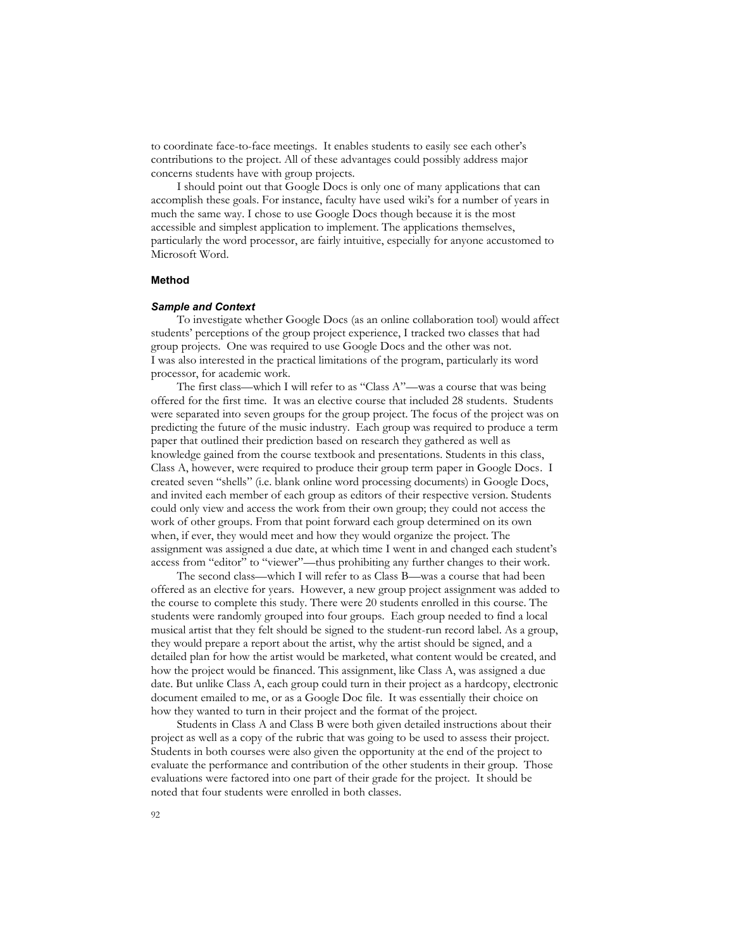to coordinate face-to-face meetings. It enables students to easily see each other's contributions to the project. All of these advantages could possibly address major concerns students have with group projects.

I should point out that Google Docs is only one of many applications that can accomplish these goals. For instance, faculty have used wiki's for a number of years in much the same way. I chose to use Google Docs though because it is the most accessible and simplest application to implement. The applications themselves, particularly the word processor, are fairly intuitive, especially for anyone accustomed to Microsoft Word.

## **Method**

#### *Sample and Context*

To investigate whether Google Docs (as an online collaboration tool) would affect students' perceptions of the group project experience, I tracked two classes that had group projects. One was required to use Google Docs and the other was not. I was also interested in the practical limitations of the program, particularly its word processor, for academic work.

The first class—which I will refer to as "Class A"—was a course that was being offered for the first time. It was an elective course that included 28 students. Students were separated into seven groups for the group project. The focus of the project was on predicting the future of the music industry. Each group was required to produce a term paper that outlined their prediction based on research they gathered as well as knowledge gained from the course textbook and presentations. Students in this class, Class A, however, were required to produce their group term paper in Google Docs. I created seven "shells" (i.e. blank online word processing documents) in Google Docs, and invited each member of each group as editors of their respective version. Students could only view and access the work from their own group; they could not access the work of other groups. From that point forward each group determined on its own when, if ever, they would meet and how they would organize the project. The assignment was assigned a due date, at which time I went in and changed each student's access from "editor" to "viewer"—thus prohibiting any further changes to their work.

The second class—which I will refer to as Class B—was a course that had been offered as an elective for years. However, a new group project assignment was added to the course to complete this study. There were 20 students enrolled in this course. The students were randomly grouped into four groups. Each group needed to find a local musical artist that they felt should be signed to the student-run record label. As a group, they would prepare a report about the artist, why the artist should be signed, and a detailed plan for how the artist would be marketed, what content would be created, and how the project would be financed. This assignment, like Class A, was assigned a due date. But unlike Class A, each group could turn in their project as a hardcopy, electronic document emailed to me, or as a Google Doc file. It was essentially their choice on how they wanted to turn in their project and the format of the project.

Students in Class A and Class B were both given detailed instructions about their project as well as a copy of the rubric that was going to be used to assess their project. Students in both courses were also given the opportunity at the end of the project to evaluate the performance and contribution of the other students in their group. Those evaluations were factored into one part of their grade for the project. It should be noted that four students were enrolled in both classes.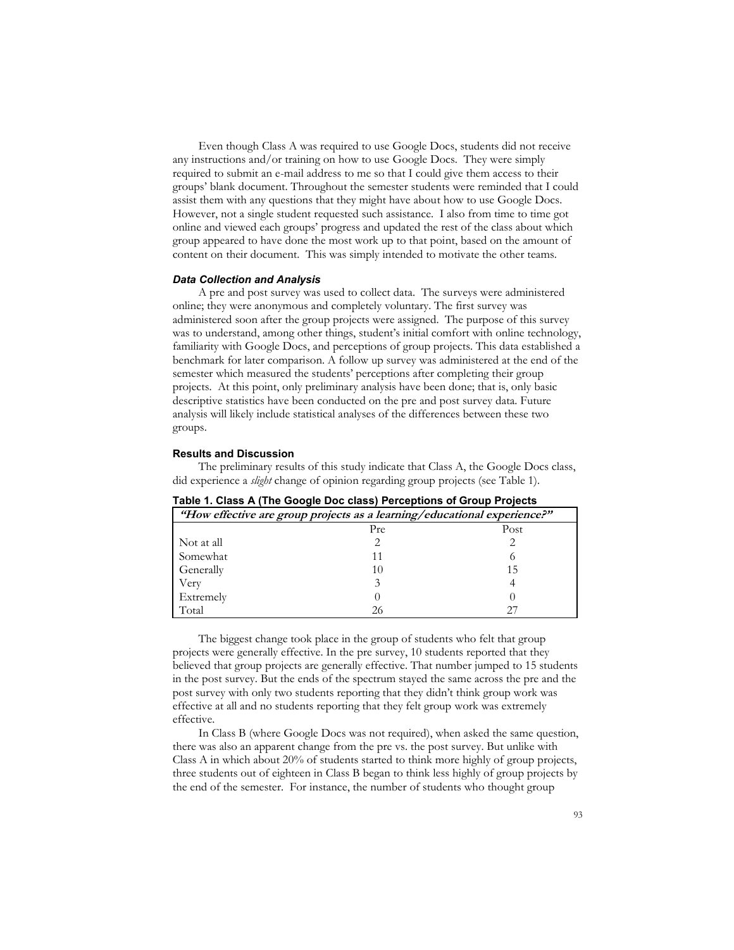Even though Class A was required to use Google Docs, students did not receive any instructions and/or training on how to use Google Docs. They were simply required to submit an e-mail address to me so that I could give them access to their groups' blank document. Throughout the semester students were reminded that I could assist them with any questions that they might have about how to use Google Docs. However, not a single student requested such assistance. I also from time to time got online and viewed each groups' progress and updated the rest of the class about which group appeared to have done the most work up to that point, based on the amount of content on their document. This was simply intended to motivate the other teams.

#### *Data Collection and Analysis*

A pre and post survey was used to collect data. The surveys were administered online; they were anonymous and completely voluntary. The first survey was administered soon after the group projects were assigned. The purpose of this survey was to understand, among other things, student's initial comfort with online technology, familiarity with Google Docs, and perceptions of group projects. This data established a benchmark for later comparison. A follow up survey was administered at the end of the semester which measured the students' perceptions after completing their group projects. At this point, only preliminary analysis have been done; that is, only basic descriptive statistics have been conducted on the pre and post survey data. Future analysis will likely include statistical analyses of the differences between these two groups.

## **Results and Discussion**

The preliminary results of this study indicate that Class A, the Google Docs class, did experience a *slight* change of opinion regarding group projects (see Table 1).

| "How effective are group projects as a learning/educational experience?" |     |      |  |
|--------------------------------------------------------------------------|-----|------|--|
|                                                                          | Pre | Post |  |
| Not at all                                                               |     |      |  |
| Somewhat                                                                 | 11  |      |  |
| Generally                                                                | 10  | 15   |  |
| Very                                                                     |     |      |  |
| Extremely                                                                |     |      |  |
| Total                                                                    | 26  |      |  |

**Table 1. Class A (The Google Doc class) Perceptions of Group Projects**

The biggest change took place in the group of students who felt that group projects were generally effective. In the pre survey, 10 students reported that they believed that group projects are generally effective. That number jumped to 15 students in the post survey. But the ends of the spectrum stayed the same across the pre and the post survey with only two students reporting that they didn't think group work was effective at all and no students reporting that they felt group work was extremely effective.

In Class B (where Google Docs was not required), when asked the same question, there was also an apparent change from the pre vs. the post survey. But unlike with Class A in which about  $20\%$  of students started to think more highly of group projects, three students out of eighteen in Class B began to think less highly of group projects by the end of the semester. For instance, the number of students who thought group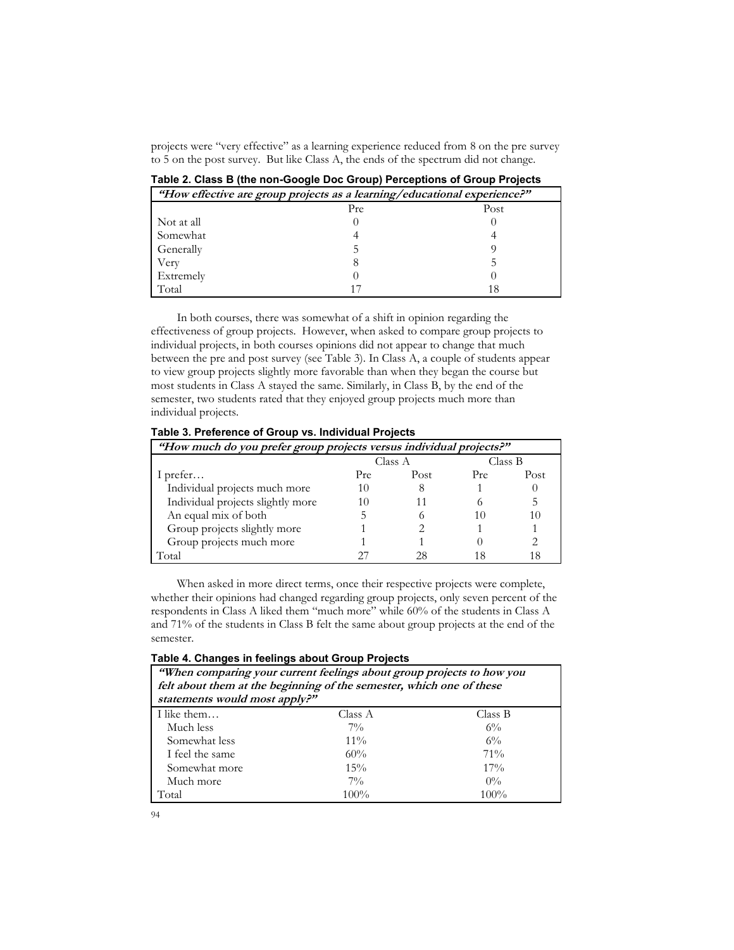projects were "very effective" as a learning experience reduced from 8 on the pre survey to 5 on the post survey. But like Class A, the ends of the spectrum did not change.

| "How effective are group projects as a learning/educational experience?" |     |      |  |
|--------------------------------------------------------------------------|-----|------|--|
|                                                                          | Pre | Post |  |
| Not at all                                                               |     |      |  |
| Somewhat                                                                 |     |      |  |
| Generally                                                                |     |      |  |
| Very                                                                     |     |      |  |
| Extremely                                                                |     |      |  |
| Total                                                                    |     |      |  |

**Table 2. Class B (the non-Google Doc Group) Perceptions of Group Projects**

In both courses, there was somewhat of a shift in opinion regarding the effectiveness of group projects. However, when asked to compare group projects to individual projects, in both courses opinions did not appear to change that much between the pre and post survey (see Table 3). In Class A, a couple of students appear to view group projects slightly more favorable than when they began the course but most students in Class A stayed the same. Similarly, in Class B, by the end of the semester, two students rated that they enjoyed group projects much more than individual projects.

**Table 3. Preference of Group vs. Individual Projects**

| "How much do you prefer group projects versus individual projects?" |         |      |         |      |
|---------------------------------------------------------------------|---------|------|---------|------|
|                                                                     | Class A |      | Class B |      |
| I prefer                                                            | Pre     | Post | Pre     | Post |
| Individual projects much more                                       | 10      |      |         |      |
| Individual projects slightly more                                   | I ( )   |      |         |      |
| An equal mix of both                                                |         |      | 10      | 10   |
| Group projects slightly more                                        |         |      |         |      |
| Group projects much more                                            |         |      |         |      |
| Total                                                               |         |      |         |      |

When asked in more direct terms, once their respective projects were complete, whether their opinions had changed regarding group projects, only seven percent of the respondents in Class A liked them "much more" while 60% of the students in Class A and 71% of the students in Class B felt the same about group projects at the end of the semester.

| Table 4. Changes in feelings about Group Projects |  |  |  |  |  |  |
|---------------------------------------------------|--|--|--|--|--|--|
|---------------------------------------------------|--|--|--|--|--|--|

| "When comparing your current feelings about group projects to how you<br>felt about them at the beginning of the semester, which one of these<br>statements would most apply?" |         |         |  |
|--------------------------------------------------------------------------------------------------------------------------------------------------------------------------------|---------|---------|--|
| I like them                                                                                                                                                                    | Class A | Class B |  |
| Much less                                                                                                                                                                      | $7\%$   | $6\%$   |  |
| Somewhat less                                                                                                                                                                  | $11\%$  | $6\%$   |  |
| I feel the same                                                                                                                                                                | 60%     | $71\%$  |  |
| Somewhat more                                                                                                                                                                  | 15%     | $17\%$  |  |
| Much more                                                                                                                                                                      | $7\%$   | $0\%$   |  |
| Total                                                                                                                                                                          | $100\%$ | $100\%$ |  |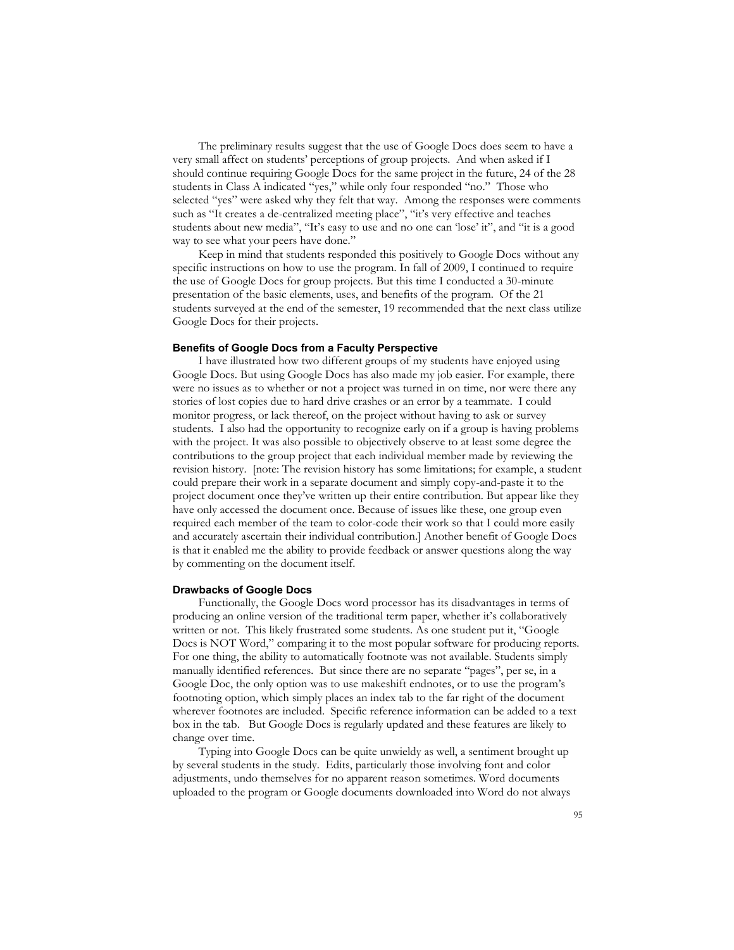The preliminary results suggest that the use of Google Docs does seem to have a very small affect on students' perceptions of group projects. And when asked if I should continue requiring Google Docs for the same project in the future, 24 of the 28 students in Class A indicated "yes," while only four responded "no." Those who selected "yes" were asked why they felt that way. Among the responses were comments such as "It creates a de-centralized meeting place", "it's very effective and teaches students about new media", "It's easy to use and no one can 'lose' it", and "it is a good way to see what your peers have done."

Keep in mind that students responded this positively to Google Docs without any specific instructions on how to use the program. In fall of 2009, I continued to require the use of Google Docs for group projects. But this time I conducted a 30-minute presentation of the basic elements, uses, and benefits of the program. Of the 21 students surveyed at the end of the semester, 19 recommended that the next class utilize Google Docs for their projects.

#### **Benefits of Google Docs from a Faculty Perspective**

I have illustrated how two different groups of my students have enjoyed using Google Docs. But using Google Docs has also made my job easier. For example, there were no issues as to whether or not a project was turned in on time, nor were there any stories of lost copies due to hard drive crashes or an error by a teammate. I could monitor progress, or lack thereof, on the project without having to ask or survey students. I also had the opportunity to recognize early on if a group is having problems with the project. It was also possible to objectively observe to at least some degree the contributions to the group project that each individual member made by reviewing the revision history. [note: The revision history has some limitations; for example, a student could prepare their work in a separate document and simply copy-and-paste it to the project document once they've written up their entire contribution. But appear like they have only accessed the document once. Because of issues like these, one group even required each member of the team to color-code their work so that I could more easily and accurately ascertain their individual contribution.] Another benefit of Google Docs is that it enabled me the ability to provide feedback or answer questions along the way by commenting on the document itself.

#### **Drawbacks of Google Docs**

Functionally, the Google Docs word processor has its disadvantages in terms of producing an online version of the traditional term paper, whether it's collaboratively written or not. This likely frustrated some students. As one student put it, "Google Docs is NOT Word," comparing it to the most popular software for producing reports. For one thing, the ability to automatically footnote was not available. Students simply manually identified references. But since there are no separate "pages", per se, in a Google Doc, the only option was to use makeshift endnotes, or to use the program's footnoting option, which simply places an index tab to the far right of the document wherever footnotes are included. Specific reference information can be added to a text box in the tab. But Google Docs is regularly updated and these features are likely to change over time.

Typing into Google Docs can be quite unwieldy as well, a sentiment brought up by several students in the study. Edits, particularly those involving font and color adjustments, undo themselves for no apparent reason sometimes. Word documents uploaded to the program or Google documents downloaded into Word do not always